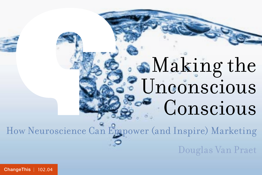# Making the Unconscious **Conscious**

How Neuroscience Can Empower (and Inspire) Marketing

Douglas Van Praet

[ChangeThis](http://changethis.com) | 102.04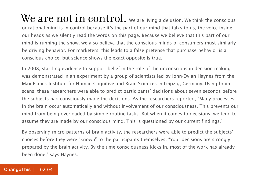$\rm{We\ are\ not\ in\ control.}$  we are living a delusion. We think the conscious or rational mind is in control because it's the part of our mind that talks to us, the voice inside our heads as we silently read the words on this page. Because we believe that this part of our mind is running the show, we also believe that the conscious minds of consumers must similarly be driving behavior. For marketers, this leads to a false pretense that purchase behavior is a conscious choice, but science shows the exact opposite is true.

In 2008, startling evidence to support belief in the role of the unconscious in decision-making was demonstrated in an experiment by a group of scientists led by John-Dylan Haynes from the Max Planck Institute for Human Cognitive and Brain Sciences in Leipzig, Germany. Using brain scans, these researchers were able to predict participants' decisions about seven seconds before the subjects had consciously made the decisions. As the researchers reported, "Many processes in the brain occur automatically and without involvement of our consciousness. This prevents our mind from being overloaded by simple routine tasks. But when it comes to decisions, we tend to assume they are made by our conscious mind. This is questioned by our current findings."

By observing micro-patterns of brain activity, the researchers were able to predict the subjects' choices before they were "known" to the participants themselves. "Your decisions are strongly prepared by the brain activity. By the time consciousness kicks in, most of the work has already been done," says Haynes.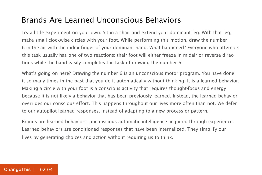#### Brands Are Learned Unconscious Behaviors

Try a little experiment on your own. Sit in a chair and extend your dominant leg. With that leg, make small clockwise circles with your foot. While performing this motion, draw the number 6 in the air with the index finger of your dominant hand. What happened? Everyone who attempts this task usually has one of two reactions; their foot will either freeze in midair or reverse directions while the hand easily completes the task of drawing the number 6.

What's going on here? Drawing the number 6 is an unconscious motor program. You have done it so many times in the past that you do it automatically without thinking. It is a learned behavior. Making a circle with your foot is a conscious activity that requires thought-focus and energy because it is not likely a behavior that has been previously learned. Instead, the learned behavior overrides our conscious effort. This happens throughout our lives more often than not. We defer to our autopilot learned responses, instead of adapting to a new process or pattern.

Brands are learned behaviors: unconscious automatic intelligence acquired through experience. Learned behaviors are conditioned responses that have been internalized. They simplify our lives by generating choices and action without requiring us to think.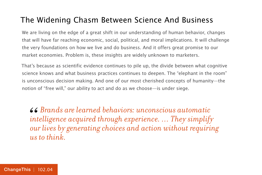#### The Widening Chasm Between Science And Business

We are living on the edge of a great shift in our understanding of human behavior, changes that will have far reaching economic, social, political, and moral implications. It will challenge the very foundations on how we live and do business. And it offers great promise to our market economies. Problem is, these insights are widely unknown to marketers.

That's because as scientific evidence continues to pile up, the divide between what cognitive science knows and what business practices continues to deepen. The "elephant in the room" is unconscious decision making. And one of our most cherished concepts of humanity—the notion of "free will," our ability to act and do as we choose—is under siege.

*Brands are learned behaviors: unconscious automatic intelligence acquired through experience. … They simplify our lives by generating choices and action without requiring us to think.* 66<br>*int*<br>*ou*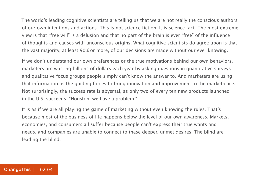The world's leading cognitive scientists are telling us that we are not really the conscious authors of our own intentions and actions. This is not science fiction. It is science fact. The most extreme view is that "free will" is a delusion and that no part of the brain is ever "free" of the influence of thoughts and causes with unconscious origins. What cognitive scientists do agree upon is that the vast majority, at least 90% or more, of our decisions are made without our ever knowing.

If we don't understand our own preferences or the true motivations behind our own behaviors, marketers are wasting billions of dollars each year by asking questions in quantitative surveys and qualitative focus groups people simply can't know the answer to. And marketers are using that information as the guiding forces to bring innovation and improvement to the marketplace. Not surprisingly, the success rate is abysmal, as only two of every ten new products launched in the U.S. succeeds. "Houston, we have a problem."

It is as if we are all playing the game of marketing without even knowing the rules. That's because most of the business of life happens below the level of our own awareness. Markets, economies, and consumers all suffer because people can't express their true wants and needs, and companies are unable to connect to these deeper, unmet desires. The blind are leading the blind.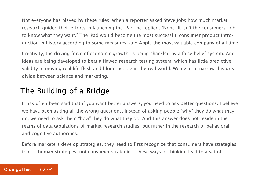Not everyone has played by these rules. When a reporter asked Steve Jobs how much market research guided their efforts in launching the iPad, he replied, "None. It isn't the consumers' job to know what they want." The iPad would become the most successful consumer product introduction in history according to some measures, and Apple the most valuable company of all-time.

Creativity, the driving force of economic growth, is being shackled by a false belief system. And ideas are being developed to beat a flawed research testing system, which has little predictive validity in moving real life flesh-and-blood people in the real world. We need to narrow this great divide between science and marketing.

#### The Building of a Bridge

It has often been said that if you want better answers, you need to ask better questions. I believe we have been asking all the wrong questions. Instead of asking people "why" they do what they do, we need to ask them "how" they do what they do. And this answer does not reside in the reams of data tabulations of market research studies, but rather in the research of behavioral and cognitive authorities.

Before marketers develop strategies, they need to first recognize that consumers have strategies too. . . human strategies, not consumer strategies. These ways of thinking lead to a set of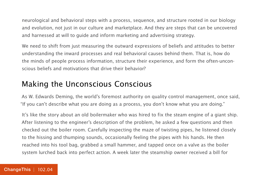neurological and behavioral steps with a process, sequence, and structure rooted in our biology and evolution, not just in our culture and marketplace. And they are steps that can be uncovered and harnessed at will to guide and inform marketing and advertising strategy.

We need to shift from just measuring the outward expressions of beliefs and attitudes to better understanding the inward processes and real behavioral causes behind them. That is, how do the minds of people process information, structure their experience, and form the often-unconscious beliefs and motivations that drive their behavior?

#### Making the Unconscious Conscious

As W. Edwards Deming, the world's foremost authority on quality control management, once said, "If you can't describe what you are doing as a process, you don't know what you are doing."

It's like the story about an old boilermaker who was hired to fix the steam engine of a giant ship. After listening to the engineer's description of the problem, he asked a few questions and then checked out the boiler room. Carefully inspecting the maze of twisting pipes, he listened closely to the hissing and thumping sounds, occasionally feeling the pipes with his hands. He then reached into his tool bag, grabbed a small hammer, and tapped once on a valve as the boiler system lurched back into perfect action. A week later the steamship owner received a bill for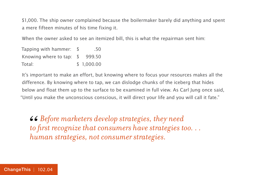\$1,000. The ship owner complained because the boilermaker barely did anything and spent a mere fifteen minutes of his time fixing it.

When the owner asked to see an itemized bill, this is what the repairman sent him:

| Tapping with hammer:      | .50        |
|---------------------------|------------|
| Knowing where to tap: $$$ | 999.50     |
| Total:                    | \$1,000.00 |

It's important to make an effort, but knowing where to focus your resources makes all the difference. By knowing where to tap, we can dislodge chunks of the iceberg that hides below and float them up to the surface to be examined in full view. As Carl Jung once said, "Until you make the unconscious conscious, it will direct your life and you will call it fate."

**66** Before marketers develop strategies, they need to first recognize that consumers have strategies to human strategies, not consumer strategies. *to first recognize that consumers have strategies too. . . human strategies, not consumer strategies.*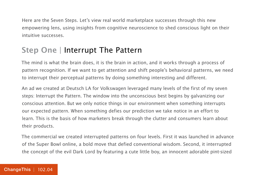Here are the Seven Steps. Let's view real world marketplace successes through this new empowering lens, using insights from cognitive neuroscience to shed conscious light on their intuitive successes.

#### **Step One** | Interrupt The Pattern

The mind is what the brain does, it is the brain in action, and it works through a process of pattern recognition. If we want to get attention and shift people's behavioral patterns, we need to interrupt their perceptual patterns by doing something interesting and different.

An ad we created at Deutsch LA for Volkswagen leveraged many levels of the first of my seven steps: Interrupt the Pattern. The window into the unconscious best begins by galvanizing our conscious attention. But we only notice things in our environment when something interrupts our expected pattern. When something defies our prediction we take notice in an effort to learn. This is the basis of how marketers break through the clutter and consumers learn about their products.

The commercial we created interrupted patterns on four levels. First it was launched in advance of the Super Bowl online, a bold move that defied conventional wisdom. Second, it interrupted the concept of the evil Dark Lord by featuring a cute little boy, an innocent adorable pint-sized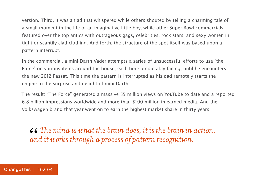version. Third, it was an ad that whispered while others shouted by telling a charming tale of a small moment in the life of an imaginative little boy, while other Super Bowl commercials featured over the top antics with outrageous gags, celebrities, rock stars, and sexy women in tight or scantily clad clothing. And forth, the structure of the spot itself was based upon a pattern interrupt.

In the commercial, a mini-Darth Vader attempts a series of unsuccessful efforts to use "the Force" on various items around the house, each time predictably failing, until he encounters the new 2012 Passat. This time the pattern is interrupted as his dad remotely starts the engine to the surprise and delight of mini-Darth.

The result: "The Force" generated a massive 55 million views on YouTube to date and a reported 6.8 billion impressions worldwide and more than \$100 million in earned media. And the Volkswagen brand that year went on to earn the highest market share in thirty years.

 $\textit{66}$  The mind is what the brain does, it is the brain in action, and it works through a process of pattern recognition. *and it works through a process of pattern recognition.*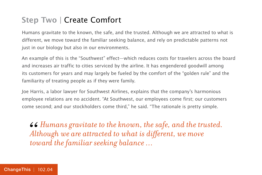#### **Step Two** | Create Comfort

Humans gravitate to the known, the safe, and the trusted. Although we are attracted to what is different, we move toward the familiar seeking balance, and rely on predictable patterns not just in our biology but also in our environments.

An example of this is the "Southwest" effect—which reduces costs for travelers across the board and increases air traffic to cities serviced by the airline. It has engendered goodwill among its customers for years and may largely be fueled by the comfort of the "golden rule" and the familiarity of treating people as if they were family.

Joe Harris, a labor lawyer for Southwest Airlines, explains that the company's harmonious employee relations are no accident. "At Southwest, our employees come first; our customers come second; and our stockholders come third," he said. "The rationale is pretty simple.

*Humans gravitate to the known, the safe, and the trusted. Although we are attracted to what is different, we move toward the familiar seeking balance …* 66<br>*Alt*<br>tou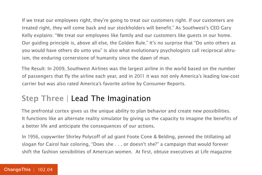If we treat our employees right, they're going to treat our customers right. If our customers are treated right, they will come back and our stockholders will benefit." As Southwest's CEO Gary Kelly explains: "We treat our employees like family and our customers like guests in our home. Our guiding principle is, above all else, the Golden Rule." It's no surprise that "Do unto others as you would have others do unto you" is also what evolutionary psychologists call reciprocal altruism, the enduring cornerstone of humanity since the dawn of man.

The Result: In 2009, Southwest Airlines was the largest airline in the world based on the number of passengers that fly the airline each year, and in 2011 it was not only America's leading low-cost carrier but was also rated America's favorite airline by Consumer Reports.

#### **Step Three** | Lead The Imagination

The prefrontal cortex gives us the unique ability to plan behavior and create new possibilities. It functions like an alternate reality simulator by giving us the capacity to imagine the benefits of a better life and anticipate the consequences of our actions.

In 1956, copywriter Shirley Polycoff of ad giant Foote Cone & Belding, penned the titillating ad slogan for Cairol hair coloring, "Does she . . . or doesn't she?" a campaign that would forever shift the fashion sensibilities of American women. At first, obtuse executives at Life magazine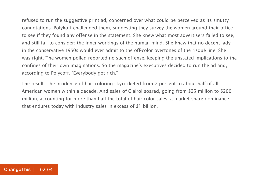refused to run the suggestive print ad, concerned over what could be perceived as its smutty connotations. Polykoff challenged them, suggesting they survey the women around their office to see if they found any offense in the statement. She knew what most advertisers failed to see, and still fail to consider: the inner workings of the human mind. She knew that no decent lady in the conservative 1950s would ever admit to the off-color overtones of the risqué line. She was right. The women polled reported no such offense, keeping the unstated implications to the confines of their own imaginations. So the magazine's executives decided to run the ad and, according to Polycoff, "Everybody got rich."

The result: The incidence of hair coloring skyrocketed from 7 percent to about half of all American women within a decade. And sales of Clairol soared, going from \$25 million to \$200 million, accounting for more than half the total of hair color sales, a market share dominance that endures today with industry sales in excess of \$1 billion.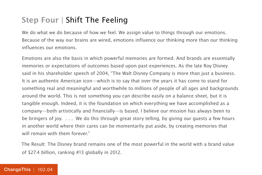#### **Step Four** | Shift The Feeling

We do what we do because of how we feel. We assign value to things through our emotions. Because of the way our brains are wired, emotions influence our thinking more than our thinking influences our emotions.

Emotions are also the basis in which powerful memories are formed. And brands are essentially memories or expectations of outcomes based upon past experiences. As the late Roy Disney said in his shareholder speech of 2004, "The Walt Disney Company is more than just a business. It is an authentic American icon—which is to say that over the years it has come to stand for something real and meaningful and worthwhile to millions of people of all ages and backgrounds around the world. This is not something you can describe easily on a balance sheet, but it is tangible enough. Indeed, it is the foundation on which everything we have accomplished as a company—both artistically and financially—is based. I believe our mission has always been to be bringers of joy. . . . We do this through great story telling, by giving our guests a few hours in another world where their cares can be momentarily put aside, by creating memories that will remain with them forever."

The Result: The Disney brand remains one of the most powerful in the world with a brand value of \$27.4 billion, ranking #13 globally in 2012.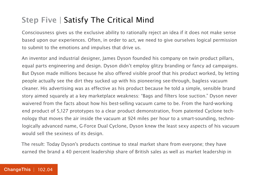#### **Step Five** | Satisfy The Critical Mind

Consciousness gives us the exclusive ability to rationally reject an idea if it does not make sense based upon our experiences. Often, in order to act, we need to give ourselves logical permission to submit to the emotions and impulses that drive us.

An inventor and industrial designer, James Dyson founded his company on twin product pillars, equal parts engineering and design. Dyson didn't employ glitzy branding or fancy ad campaigns. But Dyson made millions because he also offered visible proof that his product worked, by letting people actually see the dirt they sucked up with his pioneering see-through, bagless vacuum cleaner. His advertising was as effective as his product because he told a simple, sensible brand story aimed squarely at a key marketplace weakness: "Bags and filters lose suction." Dyson never waivered from the facts about how his best-selling vacuum came to be. From the hard-working end product of 5,127 prototypes to a clear product demonstration, from patented Cyclone technology that moves the air inside the vacuum at 924 miles per hour to a smart-sounding, technologically advanced name, G-Force Dual Cyclone, Dyson knew the least sexy aspects of his vacuum would sell the sexiness of its design.

The result: Today Dyson's products continue to steal market share from everyone; they have earned the brand a 40 percent leadership share of British sales as well as market leadership in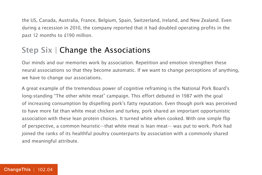the US, Canada, Australia, France, Belgium, Spain, Switzerland, Ireland, and New Zealand. Even during a recession in 2010, the company reported that it had doubled operating profits in the past 12 months to £190 million.

#### **Step Six** | Change the Associations

Our minds and our memories work by association. Repetition and emotion strengthen these neural associations so that they become automatic. If we want to change perceptions of anything, we have to change our associations.

A great example of the tremendous power of cognitive reframing is the National Pork Board's long-standing "The other white meat" campaign. This effort debuted in 1987 with the goal of increasing consumption by dispelling pork's fatty reputation. Even though pork was perceived to have more fat than white meat chicken and turkey, pork shared an important opportunistic association with these lean protein choices. It turned white when cooked. With one simple flip of perspective, a common heuristic—that white meat is lean meat— was put to work. Pork had joined the ranks of its healthful poultry counterparts by association with a commonly shared and meaningful attribute.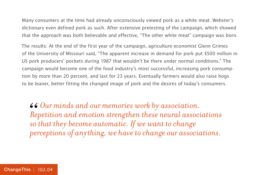Many consumers at the time had already unconsciously viewed pork as a white meat. Webster's dictionary even defined pork as such. After extensive pretesting of the campaign, which showed that the approach was both believable and effective, "The other white meat" campaign was born.

The results: At the end of the first year of the campaign, agriculture economist Glenn Grimes of the University of Missouri said, "The apparent increase in demand for pork put \$500 million in US pork producers' pockets during 1987 that wouldn't be there under normal conditions." The campaign would become one of the food industry's most successful, increasing pork consumption by more than 20 percent, and last for 23 years. Eventually farmers would also raise hogs to be leaner, better fitting the changed image of pork and the desires of today's consumers.

**66** Our minds and our memories work by association.<br> *Repetition and emotion strengthen these neural associses that they become automatic. If we want to change Repetition and emotion strengthen these neural associations so that they become automatic. If we want to change perceptions of anything, we have to change our associations.*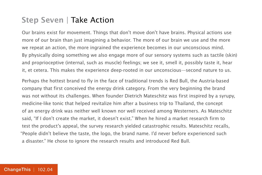#### **Step Seven** | Take Action

Our brains exist for movement. Things that don't move don't have brains. Physical actions use more of our brain than just imagining a behavior. The more of our brain we use and the more we repeat an action, the more ingrained the experience becomes in our unconscious mind. By physically doing something we also engage more of our sensory systems such as tactile (skin) and proprioceptive (internal, such as muscle) feelings; we see it, smell it, possibly taste it, hear it, et cetera. This makes the experience deep-rooted in our unconscious—second nature to us.

Perhaps the hottest brand to fly in the face of traditional trends is Red Bull, the Austria-based company that first conceived the energy drink category. From the very beginning the brand was not without its challenges. When founder Dietrich Mateschitz was first inspired by a syrupy, medicine-like tonic that helped revitalize him after a business trip to Thailand, the concept of an energy drink was neither well known nor well received among Westerners. As Mateschitz said, "If I don't create the market, it doesn't exist." When he hired a market research firm to test the product's appeal, the survey research yielded catastrophic results. Mateschitz recalls, "People didn't believe the taste, the logo, the brand name. I'd never before experienced such a disaster." He chose to ignore the research results and introduced Red Bull.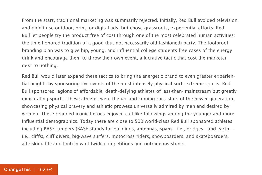From the start, traditional marketing was summarily rejected. Initially, Red Bull avoided television, and didn't use outdoor, print, or digital ads, but chose grassroots, experiential efforts. Red Bull let people try the product free of cost through one of the most celebrated human activities: the time-honored tradition of a good (but not necessarily old-fashioned) party. The foolproof branding plan was to give hip, young, and influential college students free cases of the energy drink and encourage them to throw their own event, a lucrative tactic that cost the marketer next to nothing.

Red Bull would later expand these tactics to bring the energetic brand to even greater experiential heights by sponsoring live events of the most intensely physical sort: extreme sports. Red Bull sponsored legions of affordable, death-defying athletes of less-than- mainstream but greatly exhilarating sports. These athletes were the up–and-coming rock stars of the newer generation, showcasing physical bravery and athletic prowess universally admired by men and desired by women. These branded iconic heroes enjoyed cult-like followings among the younger and more influential demographics. Today there are close to 500 world-class Red Bull sponsored athletes including BASE jumpers (BASE stands for buildings, antennas, spans—i.e., bridges—and earth i.e., cliffs), cliff divers, big-wave surfers, motocross riders, snowboarders, and skateboarders, all risking life and limb in worldwide competitions and outrageous stunts.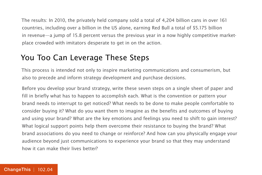The results: In 2010, the privately held company sold a total of 4,204 billion cans in over 161 countries, including over a billion in the US alone, earning Red Bull a total of \$5.175 billion in revenue—a jump of 15.8 percent versus the previous year in a now highly competitive marketplace crowded with imitators desperate to get in on the action.

#### You Too Can Leverage These Steps

This process is intended not only to inspire marketing communications and consumerism, but also to precede and inform strategy development and purchase decisions.

Before you develop your brand strategy, write these seven steps on a single sheet of paper and fill in briefly what has to happen to accomplish each. What is the convention or pattern your brand needs to interrupt to get noticed? What needs to be done to make people comfortable to consider buying it? What do you want them to imagine as the benefits and outcomes of buying and using your brand? What are the key emotions and feelings you need to shift to gain interest? What logical support points help them overcome their resistance to buying the brand? What brand associations do you need to change or reinforce? And how can you physically engage your audience beyond just communications to experience your brand so that they may understand how it can make their lives better?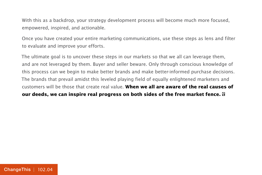With this as a backdrop, your strategy development process will become much more focused, empowered, inspired, and actionable.

Once you have created your entire marketing communications, use these steps as lens and filter to evaluate and improve your efforts.

The ultimate goal is to uncover these steps in our markets so that we all can leverage them, and are not leveraged by them. Buyer and seller beware. Only through conscious knowledge of this process can we begin to make better brands and make better-informed purchase decisions. The brands that prevail amidst this leveled playing field of equally enlightened marketers and customers will be those that create real value. **When we all are aware of the real causes of our deeds, we can inspire real progress on both sides of the free market fence.**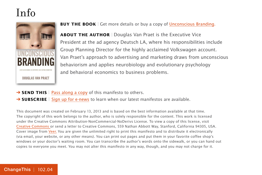### Info



**BUY THE BOOK** | Get more details or buy a copy of [Unconscious Branding.](http://800ceoread.com/book/show/9780230341791-Unconscious_Branding)

**ABOUT THE AUTHOR** | Douglas Van Praet is the Executive Vice President at the ad agency Deutsch LA, where his responsibilities include Group Planning Director for the highly acclaimed Volkswagen account. Van Praet's approach to advertising and marketing draws from unconscious behaviorism and applies neurobiology and evolutionary psychology and behavioral economics to business problems.

- → **SEND THIS** | [Pass along a copy](http://www.changethis.com/102.04.UnconsciousBranding/email) of this manifesto to others.
- **→ SUBSCRIBE** | Sign up fo[r e-news](http://changethis.com/page/show/e_mail_newsletter) to learn when our latest manifestos are available.

This document was created on February 13, 2013 and is based on the best information available at that time. The copyright of this work belongs to the author, who is solely responsible for the content. This work is licensed under the Creative Commons Attribution-NonCommercial-NoDerivs License. To view a copy of this license, visit [Creative Commons](http://creativecommons.org/licenses/by-nc-nd/2.0/) or send a letter to Creative Commons, 559 Nathan Abbott Way, Stanford, California 94305, USA. Cover image from [Veer.](http://www.veer.com/) You are given the unlimited right to print this manifesto and to distribute it electronically (via email, your website, or any other means). You can print out pages and put them in your favorite coffee shop's windows or your doctor's waiting room. You can transcribe the author's words onto the sidewalk, or you can hand out copies to everyone you meet. You may not alter this manifesto in any way, though, and you may not charge for it.